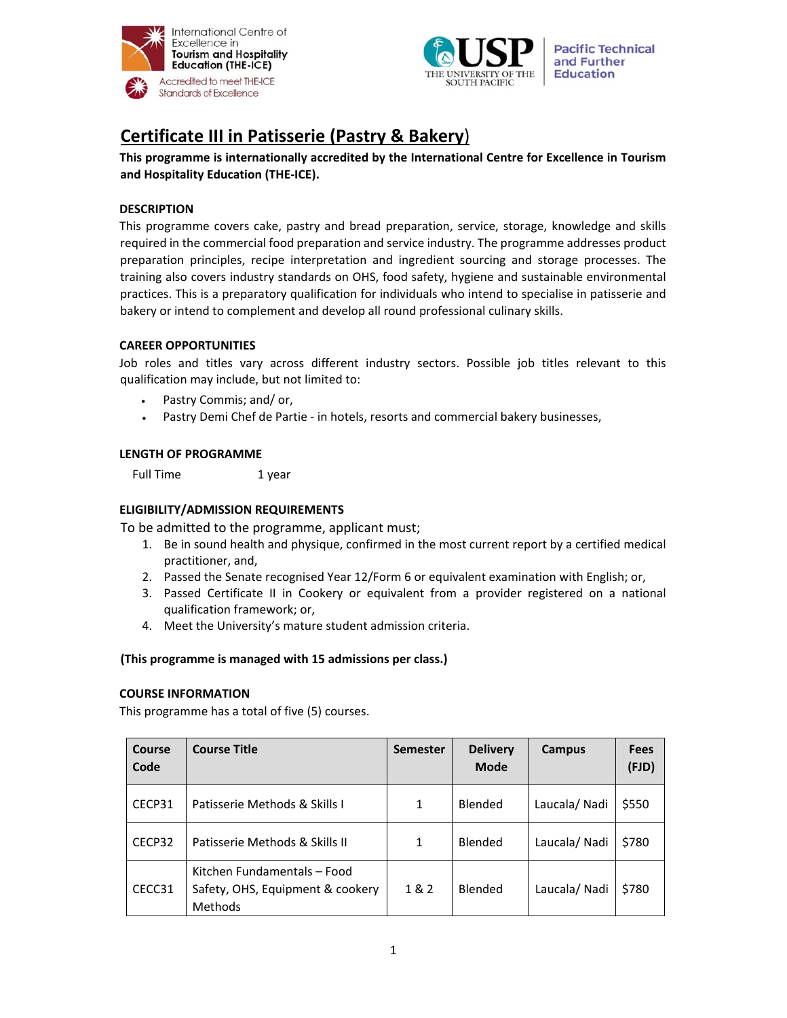



# **Certificate III in Patisserie (Pastry & Bakery**)

**This programme is internationally accredited by the International Centre for Excellence in Tourism and Hospitality Education (THE‐ICE).** 

# **DESCRIPTION**

This programme covers cake, pastry and bread preparation, service, storage, knowledge and skills required in the commercial food preparation and service industry. The programme addresses product preparation principles, recipe interpretation and ingredient sourcing and storage processes. The training also covers industry standards on OHS, food safety, hygiene and sustainable environmental practices. This is a preparatory qualification for individuals who intend to specialise in patisserie and bakery or intend to complement and develop all round professional culinary skills.

# **CAREER OPPORTUNITIES**

Job roles and titles vary across different industry sectors. Possible job titles relevant to this qualification may include, but not limited to:

- Pastry Commis; and/ or,
- Pastry Demi Chef de Partie in hotels, resorts and commercial bakery businesses,

## **LENGTH OF PROGRAMME**

Full Time 1 year

## **ELIGIBILITY/ADMISSION REQUIREMENTS**

To be admitted to the programme, applicant must;

- 1. Be in sound health and physique, confirmed in the most current report by a certified medical practitioner, and,
- 2. Passed the Senate recognised Year 12/Form 6 or equivalent examination with English; or,
- 3. Passed Certificate II in Cookery or equivalent from a provider registered on a national qualification framework; or,
- 4. Meet the University's mature student admission criteria.

## **(This programme is managed with 15 admissions per class.)**

#### **COURSE INFORMATION**

This programme has a total of five (5) courses.

| Course<br>Code | <b>Course Title</b>                                                               | <b>Semester</b> | <b>Delivery</b><br><b>Mode</b> | Campus       | <b>Fees</b><br>(FJD) |
|----------------|-----------------------------------------------------------------------------------|-----------------|--------------------------------|--------------|----------------------|
| CECP31         | Patisserie Methods & Skills I                                                     | 1               | Blended                        | Laucala/Nadi | \$550                |
| CECP32         | Patisserie Methods & Skills II                                                    | 1               | Blended                        | Laucala/Nadi | \$780                |
| CECC31         | Kitchen Fundamentals - Food<br>Safety, OHS, Equipment & cookery<br><b>Methods</b> | 1&2             | Blended                        | Laucala/Nadi | \$780                |